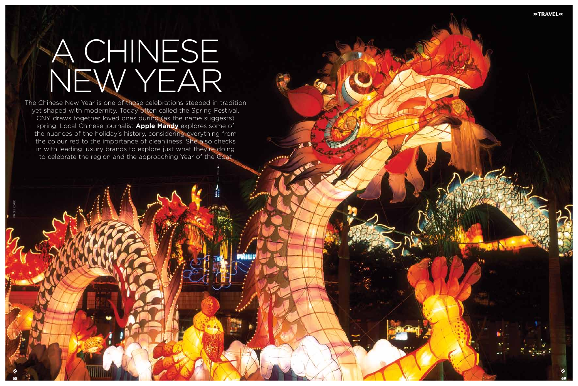

# A CHINESE NEW YEAR

The Chinese New Year is one of those celebrations steeped in tradition yet shaped with modernity. Today often called the Spring Festival, CNY draws together loved ones during (as the name suggests) spring. Local Chinese journalist **Apple Mandy** explores some of the nuances of the holiday's history, considering everything from the colour red to the importance of cleanliness. She also checks in with leading luxury brands to explore just what they're doing to celebrate the region and the approaching Year of the Goat

images: Corbis